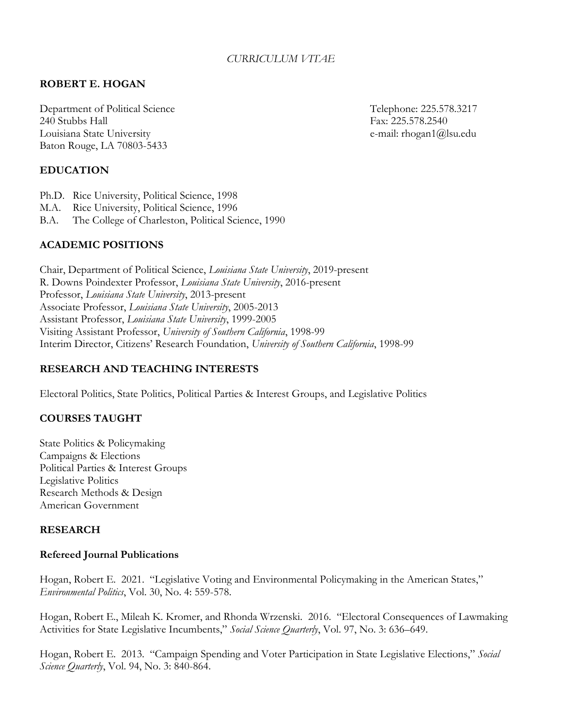# *CURRICULUM VITAE*

## **ROBERT E. HOGAN**

Department of Political Science Telephone: 225.578.3217 240 Stubbs Hall Fax: 225.578.2540 Louisiana State University e-mail: rhogan1@lsu.edu Baton Rouge, LA 70803-5433

#### **EDUCATION**

- Ph.D. Rice University, Political Science, 1998 M.A. Rice University, Political Science, 1996
- B.A. The College of Charleston, Political Science, 1990

### **ACADEMIC POSITIONS**

Chair, Department of Political Science, *Louisiana State University*, 2019-present R. Downs Poindexter Professor, *Louisiana State University*, 2016-present Professor, *Louisiana State University*, 2013-present Associate Professor, *Louisiana State University*, 2005-2013 Assistant Professor, *Louisiana State University*, 1999-2005 Visiting Assistant Professor, *University of Southern California*, 1998-99 Interim Director, Citizens' Research Foundation, *University of Southern California*, 1998-99

### **RESEARCH AND TEACHING INTERESTS**

Electoral Politics, State Politics, Political Parties & Interest Groups, and Legislative Politics

#### **COURSES TAUGHT**

State Politics & Policymaking Campaigns & Elections Political Parties & Interest Groups Legislative Politics Research Methods & Design American Government

#### **RESEARCH**

#### **Refereed Journal Publications**

Hogan, Robert E. 2021. "Legislative Voting and Environmental Policymaking in the American States," *Environmental Politics*, Vol. 30, No. 4: 559-578.

Hogan, Robert E., Mileah K. Kromer, and Rhonda Wrzenski. 2016. "Electoral Consequences of Lawmaking Activities for State Legislative Incumbents," *Social Science Quarterly*, Vol. 97, No. 3: 636–649.

Hogan, Robert E. 2013. "Campaign Spending and Voter Participation in State Legislative Elections," *Social Science Quarterly*, Vol. 94, No. 3: 840-864.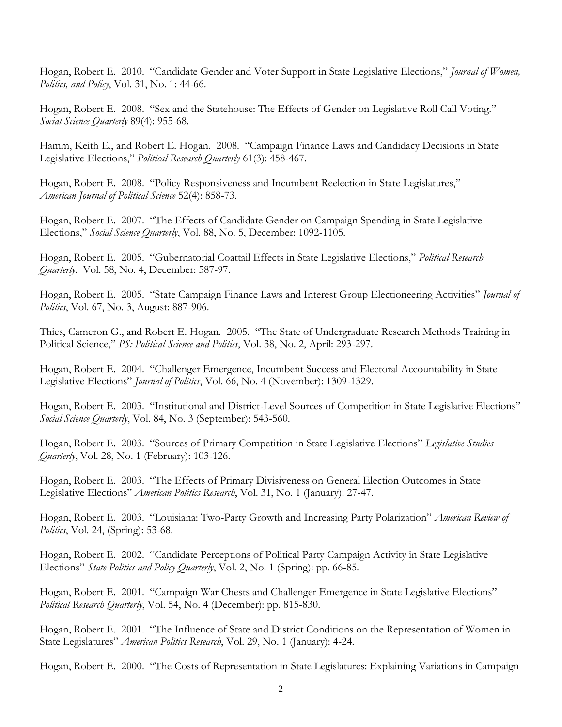Hogan, Robert E. 2010. "Candidate Gender and Voter Support in State Legislative Elections," *Journal of Women, Politics, and Policy*, Vol. 31, No. 1: 44-66.

Hogan, Robert E. 2008. "Sex and the Statehouse: The Effects of Gender on Legislative Roll Call Voting." *Social Science Quarterly* 89(4): 955-68.

Hamm, Keith E., and Robert E. Hogan. 2008. "Campaign Finance Laws and Candidacy Decisions in State Legislative Elections," *Political Research Quarterly* 61(3): 458-467.

Hogan, Robert E. 2008. "Policy Responsiveness and Incumbent Reelection in State Legislatures," *American Journal of Political Science* 52(4): 858-73.

Hogan, Robert E. 2007. "The Effects of Candidate Gender on Campaign Spending in State Legislative Elections," *Social Science Quarterly*, Vol. 88, No. 5, December: 1092-1105.

Hogan, Robert E. 2005. "Gubernatorial Coattail Effects in State Legislative Elections," *Political Research Quarterly*. Vol. 58, No. 4, December: 587-97.

Hogan, Robert E. 2005. "State Campaign Finance Laws and Interest Group Electioneering Activities" *Journal of Politics*, Vol. 67, No. 3, August: 887-906.

Thies, Cameron G., and Robert E. Hogan. 2005. "The State of Undergraduate Research Methods Training in Political Science," *PS: Political Science and Politics*, Vol. 38, No. 2, April: 293-297.

Hogan, Robert E. 2004. "Challenger Emergence, Incumbent Success and Electoral Accountability in State Legislative Elections" *Journal of Politics*, Vol. 66, No. 4 (November): 1309-1329.

Hogan, Robert E. 2003. "Institutional and District-Level Sources of Competition in State Legislative Elections" *Social Science Quarterly*, Vol. 84, No. 3 (September): 543-560.

Hogan, Robert E. 2003. "Sources of Primary Competition in State Legislative Elections" *Legislative Studies Quarterly*, Vol. 28, No. 1 (February): 103-126.

Hogan, Robert E. 2003. "The Effects of Primary Divisiveness on General Election Outcomes in State Legislative Elections" *American Politics Research*, Vol. 31, No. 1 (January): 27-47.

Hogan, Robert E. 2003. "Louisiana: Two-Party Growth and Increasing Party Polarization" *American Review of Politics*, Vol. 24, (Spring): 53-68.

Hogan, Robert E. 2002. "Candidate Perceptions of Political Party Campaign Activity in State Legislative Elections" *State Politics and Policy Quarterly*, Vol. 2, No. 1 (Spring): pp. 66-85.

Hogan, Robert E. 2001. "Campaign War Chests and Challenger Emergence in State Legislative Elections" *Political Research Quarterly*, Vol. 54, No. 4 (December): pp. 815-830.

Hogan, Robert E. 2001. "The Influence of State and District Conditions on the Representation of Women in State Legislatures" *American Politics Research*, Vol. 29, No. 1 (January): 4-24.

Hogan, Robert E. 2000. "The Costs of Representation in State Legislatures: Explaining Variations in Campaign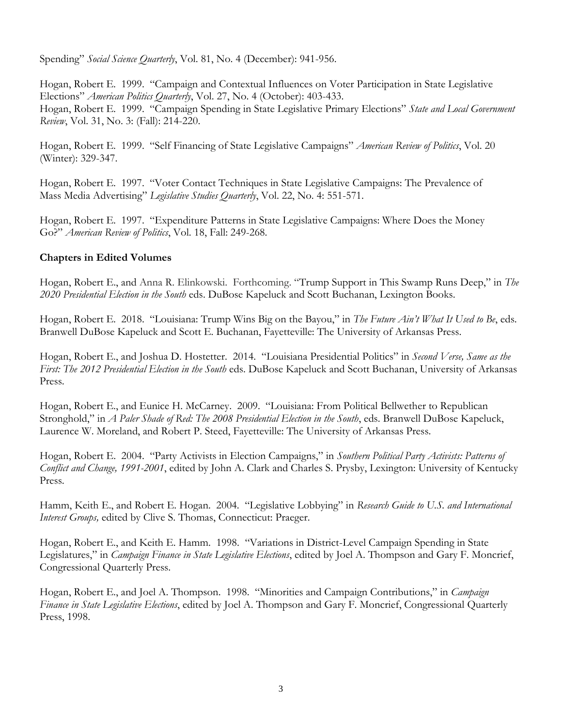Spending" *Social Science Quarterly*, Vol. 81, No. 4 (December): 941-956.

Hogan, Robert E. 1999. "Campaign and Contextual Influences on Voter Participation in State Legislative Elections" *American Politics Quarterly*, Vol. 27, No. 4 (October): 403-433. Hogan, Robert E. 1999. "Campaign Spending in State Legislative Primary Elections" *State and Local Government Review*, Vol. 31, No. 3: (Fall): 214-220.

Hogan, Robert E. 1999. "Self Financing of State Legislative Campaigns" *American Review of Politics*, Vol. 20 (Winter): 329-347.

Hogan, Robert E. 1997. "Voter Contact Techniques in State Legislative Campaigns: The Prevalence of Mass Media Advertising" *Legislative Studies Quarterly*, Vol. 22, No. 4: 551-571.

Hogan, Robert E. 1997. "Expenditure Patterns in State Legislative Campaigns: Where Does the Money Go?" *American Review of Politics*, Vol. 18, Fall: 249-268.

### **Chapters in Edited Volumes**

Hogan, Robert E., and Anna R. Elinkowski. Forthcoming. "Trump Support in This Swamp Runs Deep," in *The 2020 Presidential Election in the South* eds. DuBose Kapeluck and Scott Buchanan, Lexington Books.

Hogan, Robert E. 2018. "Louisiana: Trump Wins Big on the Bayou," in *The Future Ain't What It Used to Be*, eds. Branwell DuBose Kapeluck and Scott E. Buchanan, Fayetteville: The University of Arkansas Press.

Hogan, Robert E., and Joshua D. Hostetter. 2014. "Louisiana Presidential Politics" in *Second Verse, Same as the First: The 2012 Presidential Election in the South* eds. DuBose Kapeluck and Scott Buchanan, University of Arkansas Press.

Hogan, Robert E., and Eunice H. McCarney. 2009. "Louisiana: From Political Bellwether to Republican Stronghold," in *A Paler Shade of Red: The 2008 Presidential Election in the South*, eds. Branwell DuBose Kapeluck, Laurence W. Moreland, and Robert P. Steed, Fayetteville: The University of Arkansas Press.

Hogan, Robert E. 2004. "Party Activists in Election Campaigns," in *Southern Political Party Activists: Patterns of Conflict and Change, 1991-2001*, edited by John A. Clark and Charles S. Prysby, Lexington: University of Kentucky Press.

Hamm, Keith E., and Robert E. Hogan. 2004. "Legislative Lobbying" in *Research Guide to U.S. and International Interest Groups,* edited by Clive S. Thomas, Connecticut: Praeger.

Hogan, Robert E., and Keith E. Hamm. 1998. "Variations in District-Level Campaign Spending in State Legislatures," in *Campaign Finance in State Legislative Elections*, edited by Joel A. Thompson and Gary F. Moncrief, Congressional Quarterly Press.

Hogan, Robert E., and Joel A. Thompson. 1998. "Minorities and Campaign Contributions," in *Campaign Finance in State Legislative Elections*, edited by Joel A. Thompson and Gary F. Moncrief, Congressional Quarterly Press, 1998.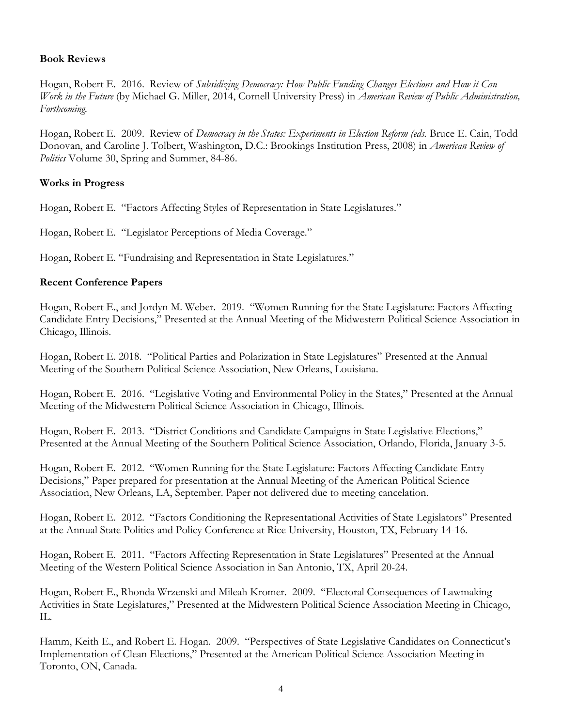### **Book Reviews**

Hogan, Robert E. 2016. Review of *Subsidizing Democracy: How Public Funding Changes Elections and How it Can Work in the Future* (by Michael G. Miller, 2014, Cornell University Press) in *American Review of Public Administration, Forthcoming.*

Hogan, Robert E. 2009. Review of *Democracy in the States: Experiments in Election Reform (eds.* Bruce E. Cain, Todd Donovan, and Caroline J. Tolbert, Washington, D.C.: Brookings Institution Press, 2008) in *American Review of Politics* Volume 30, Spring and Summer, 84-86.

### **Works in Progress**

Hogan, Robert E. "Factors Affecting Styles of Representation in State Legislatures."

Hogan, Robert E. "Legislator Perceptions of Media Coverage."

Hogan, Robert E. "Fundraising and Representation in State Legislatures."

### **Recent Conference Papers**

Hogan, Robert E., and Jordyn M. Weber. 2019. "Women Running for the State Legislature: Factors Affecting Candidate Entry Decisions," Presented at the Annual Meeting of the Midwestern Political Science Association in Chicago, Illinois.

Hogan, Robert E. 2018. "Political Parties and Polarization in State Legislatures" Presented at the Annual Meeting of the Southern Political Science Association, New Orleans, Louisiana.

Hogan, Robert E. 2016. "Legislative Voting and Environmental Policy in the States," Presented at the Annual Meeting of the Midwestern Political Science Association in Chicago, Illinois.

Hogan, Robert E. 2013. "District Conditions and Candidate Campaigns in State Legislative Elections," Presented at the Annual Meeting of the Southern Political Science Association, Orlando, Florida, January 3-5.

Hogan, Robert E. 2012. "Women Running for the State Legislature: Factors Affecting Candidate Entry Decisions," Paper prepared for presentation at the Annual Meeting of the American Political Science Association, New Orleans, LA, September. Paper not delivered due to meeting cancelation.

Hogan, Robert E. 2012. "Factors Conditioning the Representational Activities of State Legislators" Presented at the Annual State Politics and Policy Conference at Rice University, Houston, TX, February 14-16.

Hogan, Robert E. 2011. "Factors Affecting Representation in State Legislatures" Presented at the Annual Meeting of the Western Political Science Association in San Antonio, TX, April 20-24.

Hogan, Robert E., Rhonda Wrzenski and Mileah Kromer. 2009. "Electoral Consequences of Lawmaking Activities in State Legislatures," Presented at the Midwestern Political Science Association Meeting in Chicago, IL.

Hamm, Keith E., and Robert E. Hogan. 2009. "Perspectives of State Legislative Candidates on Connecticut's Implementation of Clean Elections," Presented at the American Political Science Association Meeting in Toronto, ON, Canada.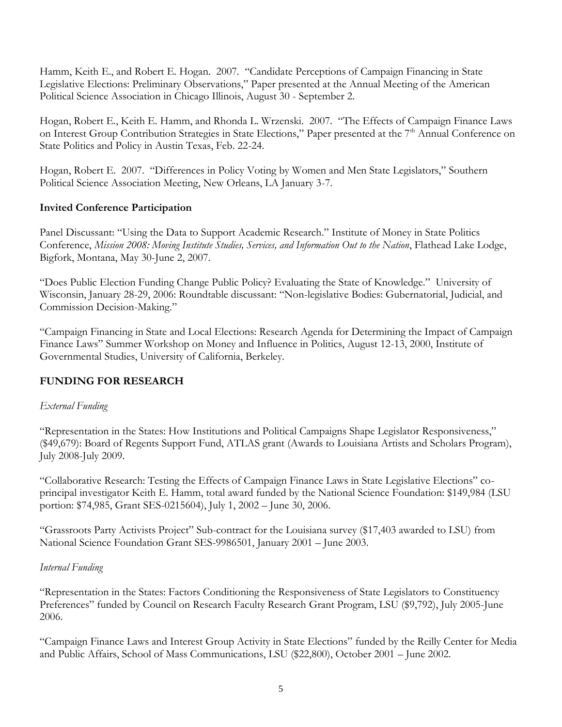Hamm, Keith E., and Robert E. Hogan. 2007. "Candidate Perceptions of Campaign Financing in State Legislative Elections: Preliminary Observations," Paper presented at the Annual Meeting of the American Political Science Association in Chicago Illinois, August 30 - September 2.

Hogan, Robert E., Keith E. Hamm, and Rhonda L. Wrzenski. 2007. "The Effects of Campaign Finance Laws on Interest Group Contribution Strategies in State Elections," Paper presented at the 7<sup>th</sup> Annual Conference on State Politics and Policy in Austin Texas, Feb. 22-24.

Hogan, Robert E. 2007. "Differences in Policy Voting by Women and Men State Legislators," Southern Political Science Association Meeting, New Orleans, LA January 3-7.

# **Invited Conference Participation**

Panel Discussant: "Using the Data to Support Academic Research." Institute of Money in State Politics Conference, *Mission 2008: Moving Institute Studies, Services, and Information Out to the Nation*, Flathead Lake Lodge, Bigfork, Montana, May 30-June 2, 2007.

"Does Public Election Funding Change Public Policy? Evaluating the State of Knowledge." University of Wisconsin, January 28-29, 2006: Roundtable discussant: "Non-legislative Bodies: Gubernatorial, Judicial, and Commission Decision-Making."

"Campaign Financing in State and Local Elections: Research Agenda for Determining the Impact of Campaign Finance Laws" Summer Workshop on Money and Influence in Politics, August 12-13, 2000, Institute of Governmental Studies, University of California, Berkeley.

# **FUNDING FOR RESEARCH**

# *External Funding*

"Representation in the States: How Institutions and Political Campaigns Shape Legislator Responsiveness," (\$49,679): Board of Regents Support Fund, ATLAS grant (Awards to Louisiana Artists and Scholars Program), July 2008-July 2009.

"Collaborative Research: Testing the Effects of Campaign Finance Laws in State Legislative Elections" coprincipal investigator Keith E. Hamm, total award funded by the National Science Foundation: \$149,984 (LSU portion: \$74,985, Grant SES-0215604), July 1, 2002 – June 30, 2006.

"Grassroots Party Activists Project" Sub-contract for the Louisiana survey (\$17,403 awarded to LSU) from National Science Foundation Grant SES-9986501, January 2001 – June 2003.

# *Internal Funding*

"Representation in the States: Factors Conditioning the Responsiveness of State Legislators to Constituency Preferences" funded by Council on Research Faculty Research Grant Program, LSU (\$9,792), July 2005-June 2006.

"Campaign Finance Laws and Interest Group Activity in State Elections" funded by the Reilly Center for Media and Public Affairs, School of Mass Communications, LSU (\$22,800), October 2001 – June 2002.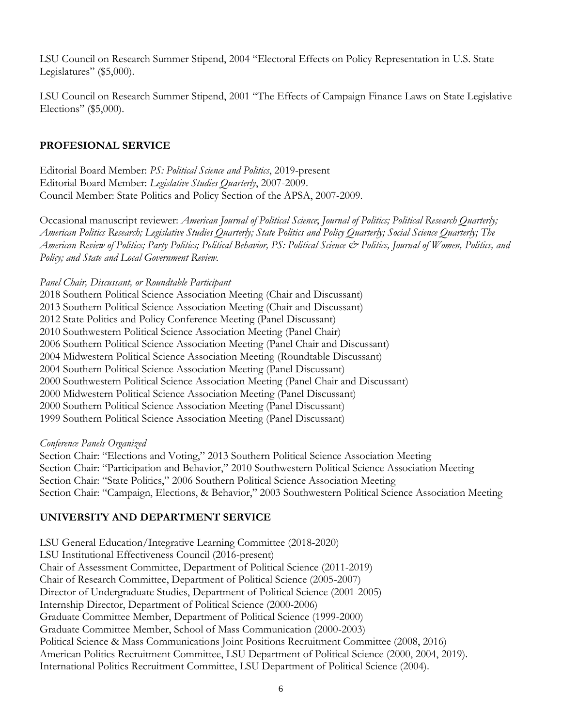LSU Council on Research Summer Stipend, 2004 "Electoral Effects on Policy Representation in U.S. State Legislatures" (\$5,000).

LSU Council on Research Summer Stipend, 2001 "The Effects of Campaign Finance Laws on State Legislative Elections" (\$5,000).

# **PROFESIONAL SERVICE**

Editorial Board Member: *PS: Political Science and Politics*, 2019-present Editorial Board Member: *Legislative Studies Quarterly*, 2007-2009. Council Member: State Politics and Policy Section of the APSA, 2007-2009.

Occasional manuscript reviewer: *American Journal of Political Science*; *Journal of Politics; Political Research Quarterly; American Politics Research; Legislative Studies Quarterly; State Politics and Policy Quarterly; Social Science Quarterly; The American Review of Politics; Party Politics; Political Behavior, PS: Political Science & Politics, Journal of Women, Politics, and Policy; and State and Local Government Review.*

### *Panel Chair, Discussant, or Roundtable Participant*

2018 Southern Political Science Association Meeting (Chair and Discussant) 2013 Southern Political Science Association Meeting (Chair and Discussant) 2012 State Politics and Policy Conference Meeting (Panel Discussant) 2010 Southwestern Political Science Association Meeting (Panel Chair) 2006 Southern Political Science Association Meeting (Panel Chair and Discussant) 2004 Midwestern Political Science Association Meeting (Roundtable Discussant) 2004 Southern Political Science Association Meeting (Panel Discussant) 2000 Southwestern Political Science Association Meeting (Panel Chair and Discussant) 2000 Midwestern Political Science Association Meeting (Panel Discussant) 2000 Southern Political Science Association Meeting (Panel Discussant) 1999 Southern Political Science Association Meeting (Panel Discussant)

#### *Conference Panels Organized*

Section Chair: "Elections and Voting," 2013 Southern Political Science Association Meeting Section Chair: "Participation and Behavior," 2010 Southwestern Political Science Association Meeting Section Chair: "State Politics," 2006 Southern Political Science Association Meeting Section Chair: "Campaign, Elections, & Behavior," 2003 Southwestern Political Science Association Meeting

# **UNIVERSITY AND DEPARTMENT SERVICE**

LSU General Education/Integrative Learning Committee (2018-2020) LSU Institutional Effectiveness Council (2016-present) Chair of Assessment Committee, Department of Political Science (2011-2019) Chair of Research Committee, Department of Political Science (2005-2007) Director of Undergraduate Studies, Department of Political Science (2001-2005) Internship Director, Department of Political Science (2000-2006) Graduate Committee Member, Department of Political Science (1999-2000) Graduate Committee Member, School of Mass Communication (2000-2003) Political Science & Mass Communications Joint Positions Recruitment Committee (2008, 2016) American Politics Recruitment Committee, LSU Department of Political Science (2000, 2004, 2019). International Politics Recruitment Committee, LSU Department of Political Science (2004).